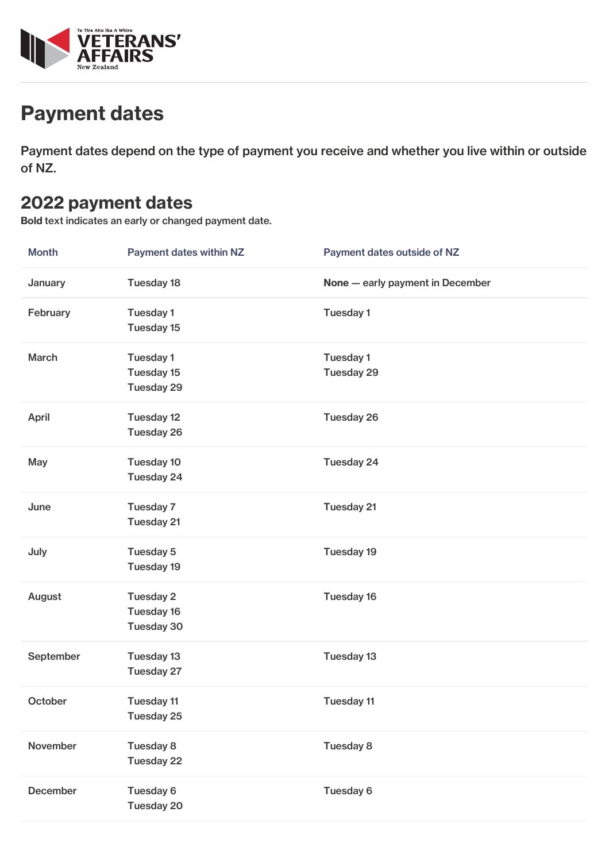

# Payment dates

Payment dates depend on the type of payment you receive and whether you live within or outside of NZ.

#### 2022 payment dates

Bold text indicates an early or changed payment date.

| <b>Month</b> | <b>Payment dates within NZ</b>        | Payment dates outside of NZ      |
|--------------|---------------------------------------|----------------------------------|
| January      | Tuesday 18                            | None - early payment in December |
| February     | <b>Tuesday 1</b><br>Tuesday 15        | Tuesday 1                        |
| <b>March</b> | Tuesday 1<br>Tuesday 15<br>Tuesday 29 | Tuesday 1<br>Tuesday 29          |
| <b>April</b> | Tuesday 12<br>Tuesday 26              | Tuesday 26                       |
| May          | Tuesday 10<br>Tuesday 24              | Tuesday 24                       |
| June         | Tuesday 7<br>Tuesday 21               | Tuesday 21                       |
| July         | Tuesday 5<br>Tuesday 19               | Tuesday 19                       |
| August       | Tuesday 2<br>Tuesday 16<br>Tuesday 30 | Tuesday 16                       |
| September    | Tuesday 13<br>Tuesday 27              | Tuesday 13                       |
| October      | Tuesday 11<br>Tuesday 25              | Tuesday 11                       |
| November     | Tuesday 8<br>Tuesday 22               | Tuesday 8                        |
| December     | Tuesday 6<br>Tuesday 20               | Tuesday 6                        |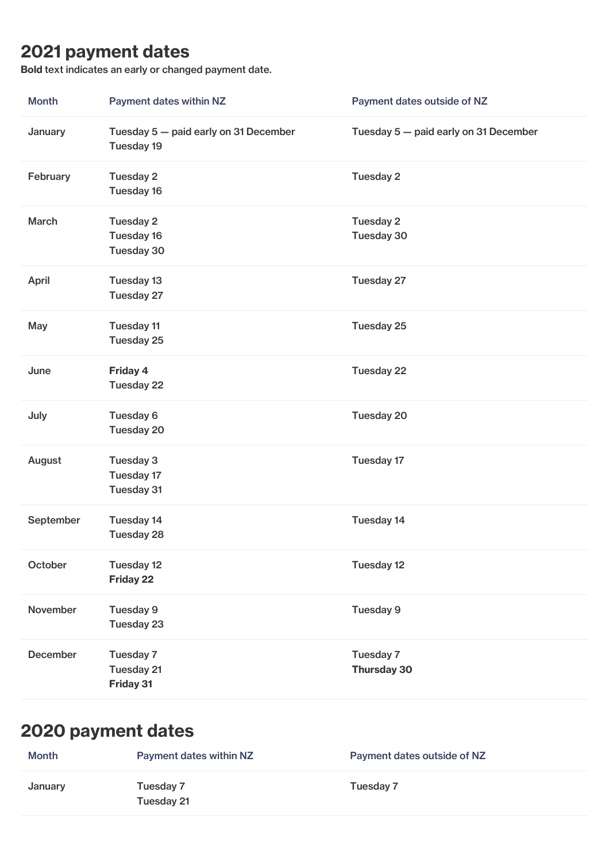## 2021 payment dates

Bold text indicates an early or changed payment date.

| <b>Month</b> | Payment dates within NZ                             | Payment dates outside of NZ           |
|--------------|-----------------------------------------------------|---------------------------------------|
| January      | Tuesday 5 - paid early on 31 December<br>Tuesday 19 | Tuesday 5 - paid early on 31 December |
| February     | Tuesday 2<br>Tuesday 16                             | Tuesday 2                             |
| March        | Tuesday 2<br>Tuesday 16<br>Tuesday 30               | Tuesday 2<br>Tuesday 30               |
| April        | Tuesday 13<br>Tuesday 27                            | Tuesday 27                            |
| May          | <b>Tuesday 11</b><br>Tuesday 25                     | Tuesday 25                            |
| June         | Friday 4<br>Tuesday 22                              | Tuesday 22                            |
| July         | Tuesday 6<br>Tuesday 20                             | Tuesday 20                            |
| August       | Tuesday 3<br>Tuesday 17<br>Tuesday 31               | Tuesday 17                            |
| September    | Tuesday 14<br>Tuesday 28                            | Tuesday 14                            |
| October      | Tuesday 12<br><b>Friday 22</b>                      | Tuesday 12                            |
| November     | Tuesday 9<br>Tuesday 23                             | Tuesday 9                             |
| December     | Tuesday 7<br>Tuesday 21<br>Friday 31                | Tuesday 7<br><b>Thursday 30</b>       |

## 2020 payment dates

| <b>Month</b> | Payment dates within NZ | Payment dates outside of NZ |
|--------------|-------------------------|-----------------------------|
| January      | Tuesday 7<br>Tuesday 21 | Tuesday 7                   |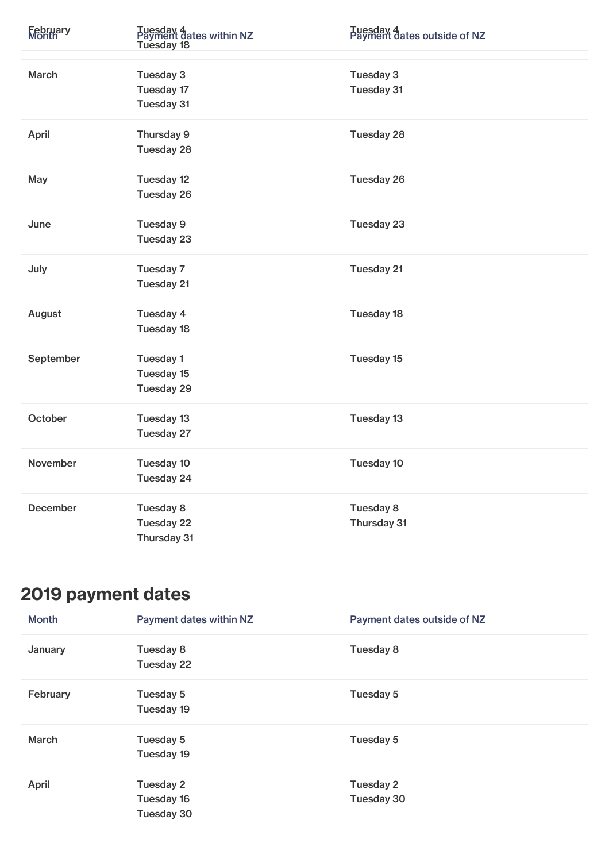| February        | Tuesday 4<br>Payment dates within NZ<br>Tuesday 18 | Tuesday 4<br>Payment dates outside of NZ |
|-----------------|----------------------------------------------------|------------------------------------------|
| March           | Tuesday 3<br>Tuesday 17<br>Tuesday 31              | Tuesday 3<br>Tuesday 31                  |
| April           | Thursday 9<br>Tuesday 28                           | Tuesday 28                               |
| May             | Tuesday 12<br>Tuesday 26                           | Tuesday 26                               |
| June            | Tuesday 9<br>Tuesday 23                            | Tuesday 23                               |
| July            | Tuesday 7<br>Tuesday 21                            | Tuesday 21                               |
| August          | Tuesday 4<br><b>Tuesday 18</b>                     | Tuesday 18                               |
| September       | Tuesday 1<br>Tuesday 15<br>Tuesday 29              | Tuesday 15                               |
| October         | Tuesday 13<br>Tuesday 27                           | Tuesday 13                               |
| November        | Tuesday 10<br>Tuesday 24                           | Tuesday 10                               |
| <b>December</b> | Tuesday 8<br>Tuesday 22<br>Thursday 31             | Tuesday 8<br>Thursday 31                 |

## 2019 payment dates

| <b>Month</b> | <b>Payment dates within NZ</b>        | Payment dates outside of NZ |
|--------------|---------------------------------------|-----------------------------|
| January      | Tuesday 8<br>Tuesday 22               | Tuesday 8                   |
| February     | Tuesday 5<br>Tuesday 19               | Tuesday 5                   |
| <b>March</b> | Tuesday 5<br>Tuesday 19               | Tuesday 5                   |
| April        | Tuesday 2<br>Tuesday 16<br>Tuesday 30 | Tuesday 2<br>Tuesday 30     |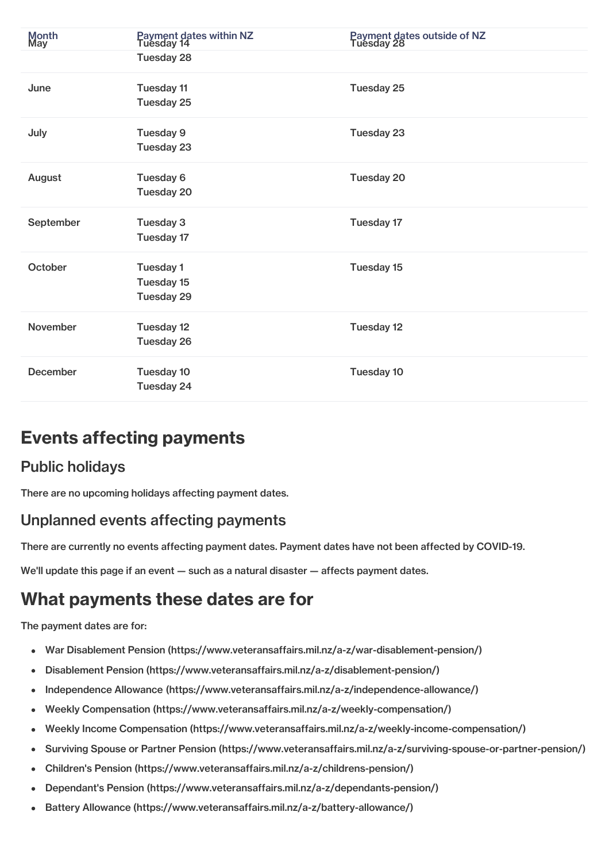| Month<br>May    | Payment dates within NZ<br>Tuesday 14 | Payment dates outside of NZ<br>Tuesday 28 |
|-----------------|---------------------------------------|-------------------------------------------|
|                 | Tuesday 28                            |                                           |
| June            | <b>Tuesday 11</b><br>Tuesday 25       | Tuesday 25                                |
| July            | Tuesday 9<br>Tuesday 23               | Tuesday 23                                |
| August          | Tuesday 6<br>Tuesday 20               | Tuesday 20                                |
| September       | Tuesday 3<br>Tuesday 17               | Tuesday 17                                |
| October         | Tuesday 1<br>Tuesday 15<br>Tuesday 29 | Tuesday 15                                |
| <b>November</b> | Tuesday 12<br>Tuesday 26              | Tuesday 12                                |
| <b>December</b> | Tuesday 10<br>Tuesday 24              | Tuesday 10                                |

## Events affecting payments

#### Public holidays

There are no upcoming holidays affecting payment dates.

#### Unplanned events affecting payments

There are currently no events affecting payment dates. Payment dates have not been affected by COVID-19.

We'll update this page if an event – such as a natural disaster – affects payment dates.

## What payments these dates are for

The payment dates are for:

- War Disablement Pension [\(https://www.veteransaffairs.mil.nz/a-z/war-disablement-pension/\)](http://veteransaffairs.mil.nz/a-z/war-disablement-pension/)
- Disablement Pension [\(https://www.veteransaffairs.mil.nz/a-z/disablement-pension/\)](http://veteransaffairs.mil.nz/a-z/disablement-pension/)  $\bullet$
- Independence Allowance [\(https://www.veteransaffairs.mil.nz/a-z/independence-allowance/\)](http://veteransaffairs.mil.nz/a-z/independence-allowance/)  $\bullet$
- Weekly Compensation [\(https://www.veteransaffairs.mil.nz/a-z/weekly-compensation/\)](http://veteransaffairs.mil.nz/a-z/weekly-compensation/)
- Weekly Income Compensation [\(https://www.veteransaffairs.mil.nz/a-z/weekly-income-compensation/\)](http://veteransaffairs.mil.nz/a-z/weekly-income-compensation/)
- Surviving Spouse or Partner Pension [\(https://www.veteransaffairs.mil.nz/a-z/surviving-spouse-or-partner-pension/\)](http://veteransaffairs.mil.nz/a-z/surviving-spouse-or-partner-pension/)  $\bullet$
- Children's Pension [\(https://www.veteransaffairs.mil.nz/a-z/childrens-pension/\)](http://veteransaffairs.mil.nz/a-z/childrens-pension/)  $\bullet$
- Dependant's Pension [\(https://www.veteransaffairs.mil.nz/a-z/dependants-pension/\)](http://veteransaffairs.mil.nz/a-z/dependants-pension/)
- Battery Allowance [\(https://www.veteransaffairs.mil.nz/a-z/battery-allowance/\)](http://veteransaffairs.mil.nz/a-z/battery-allowance/)